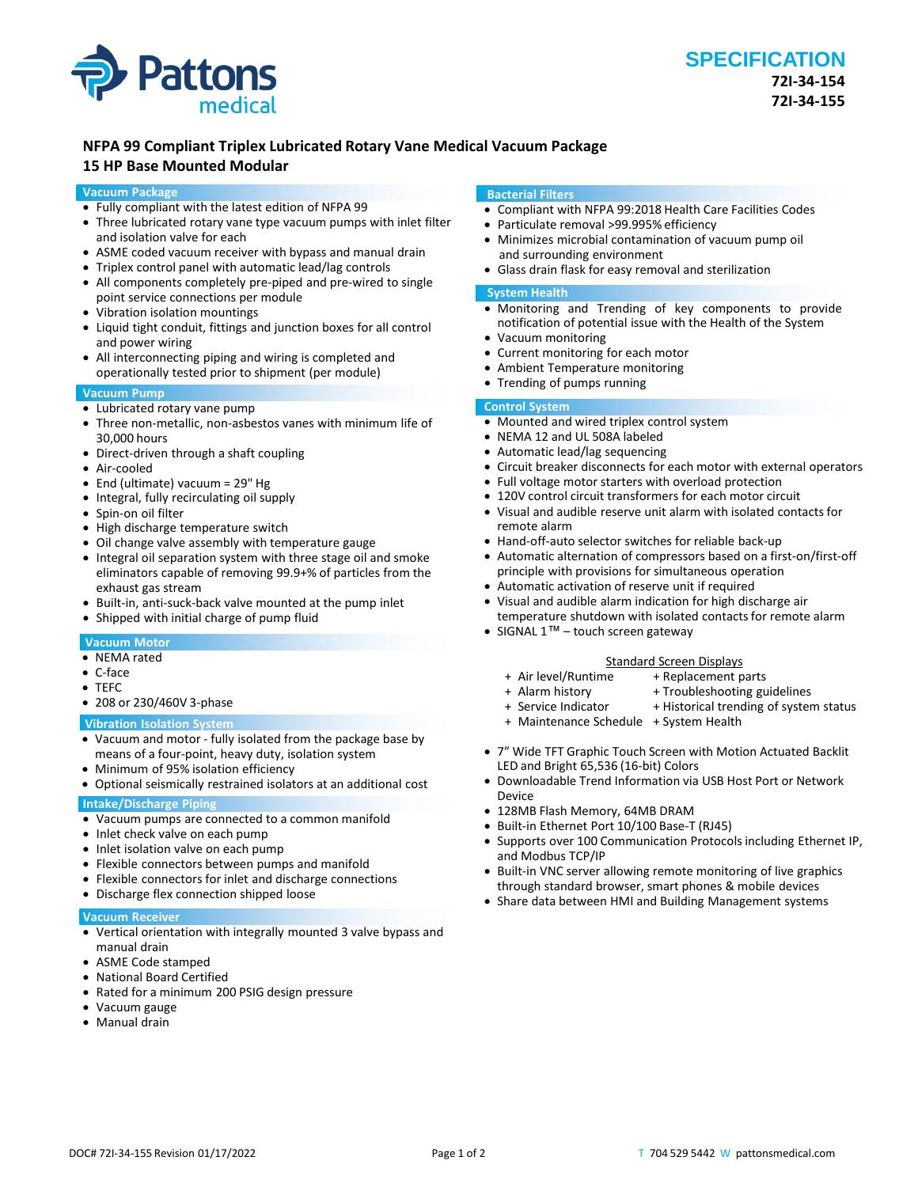

# **NFPA 99 Compliant Triplex Lubricated Rotary Vane Medical Vacuum Package**

# **15 HP Base Mounted Modular**

### **Vacuum Package**

- Fully compliant with the latest edition of NFPA 99
- Three lubricated rotary vane type vacuum pumps with inlet filter and isolation valve for each
- ASME coded vacuum receiver with bypass and manual drain
- Triplex control panel with automatic lead/lag controls
- All components completely pre-piped and pre-wired to single point service connections per module
- Vibration isolation mountings
- Liquid tight conduit, fittings and junction boxes for all control and power wiring
- All interconnecting piping and wiring is completed and operationally tested prior to shipment (per module)

## **Vacuum Pump**

- Lubricated rotary vane pump
- Three non-metallic, non-asbestos vanes with minimum life of 30,000 hours
- Direct-driven through a shaft coupling
- Air-cooled
- End (ultimate) vacuum = 29" Hg
- Integral, fully recirculating oil supply
- Spin-on oil filter
- High discharge temperature switch
- Oil change valve assembly with temperature gauge
- Integral oil separation system with three stage oil and smoke eliminators capable of removing 99.9+% of particles from the exhaust gas stream
- Built-in, anti-suck-back valve mounted at the pump inlet
- Shipped with initial charge of pump fluid

#### **Vacuum Motor**

- NEMA rated
- C-face
- TEFC
- 208 or 230/460V 3-phase

#### **Vibration Isolation System**

- Vacuum and motor fully isolated from the package base by means of a four-point, heavy duty, isolation system
- Minimum of 95% isolation efficiency
- Optional seismically restrained isolators at an additional cost

# **Intake/Discharge Piping**

- Vacuum pumps are connected to a common manifold
- Inlet check valve on each pump
- Inlet isolation valve on each pump
- Flexible connectors between pumps and manifold
- Flexible connectors for inlet and discharge connections
- Discharge flex connection shipped loose

#### **Vacuum Receiver**

- Vertical orientation with integrally mounted 3 valve bypass and manual drain
- ASME Code stamped
- National Board Certified
- Rated for a minimum 200 PSIG design pressure
- Vacuum gauge
- Manual drain

#### **Bacterial Filters**

- Compliant with NFPA 99:2018 Health Care Facilities Codes
- Particulate removal >99.995% efficiency
- Minimizes microbial contamination of vacuum pump oil and surrounding environment
- Glass drain flask for easy removal and sterilization

#### **System Health**

- Monitoring and Trending of key components to provide notification of potential issue with the Health of the System
- Vacuum monitoring
- Current monitoring for each motor
- Ambient Temperature monitoring
- Trending of pumps running

# **Control System**

- Mounted and wired triplex control system
- NEMA 12 and UL 508A labeled
- Automatic lead/lag sequencing
- Circuit breaker disconnects for each motor with external operators
- Full voltage motor starters with overload protection
- 120V control circuit transformers for each motor circuit
- Visual and audible reserve unit alarm with isolated contacts for remote alarm
- Hand-off-auto selector switches for reliable back-up
- Automatic alternation of compressors based on a first-on/first-off principle with provisions for simultaneous operation
- Automatic activation of reserve unit if required
- Visual and audible alarm indication for high discharge air temperature shutdown with isolated contacts for remote alarm
- SIGNAL 1™ touch screen gateway

- Standard Screen Displays<br>Air level/Runtime + Replacement p +
- 
- + Alarm history + Troubleshooting guidelines<br>+ Service Indicator + Historical trending of syster + Historical trending of system status

+ Replacement parts

- 
- + Maintenance Schedule + System Health
- 7" Wide TFT Graphic Touch Screen with Motion Actuated Backlit LED and Bright 65,536 (16-bit) Colors
- Downloadable Trend Information via USB Host Port or Network Device
- 128MB Flash Memory, 64MB DRAM
- Built-in Ethernet Port 10/100 Base-T (RJ45)
- Supports over 100 Communication Protocols including Ethernet IP, and Modbus TCP/IP
- Built-in VNC server allowing remote monitoring of live graphics through standard browser, smart phones & mobile devices
- Share data between HMI and Building Management systems